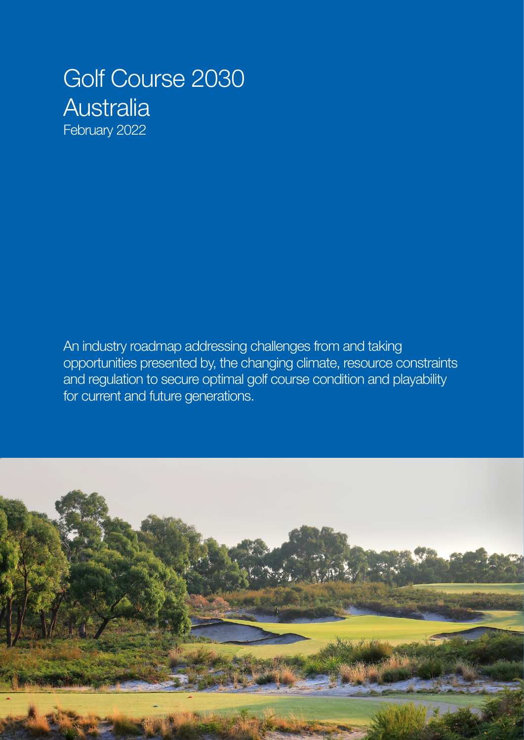# Golf Course 2030 **Australia**

February 2022

An industry roadmap addressing challenges from and taking opportunities presented by, the changing climate, resource constraints and regulation to secure optimal golf course condition and playability for current and future generations.

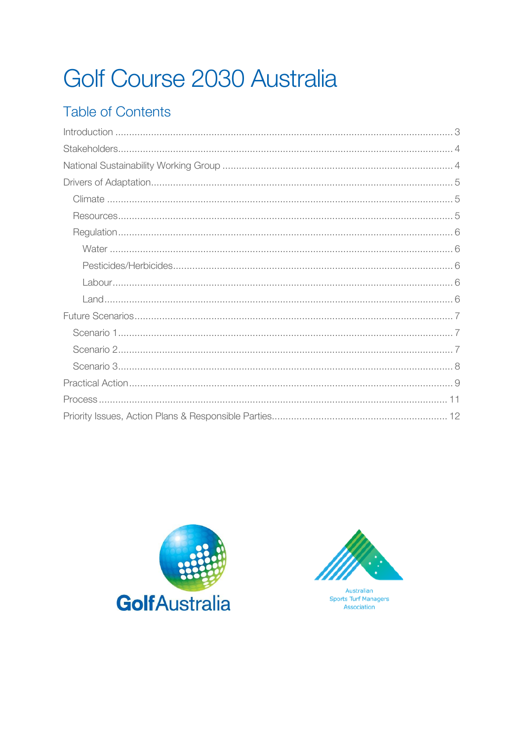# Golf Course 2030 Australia

# **Table of Contents**





Australian **Sports Turf Managers** Association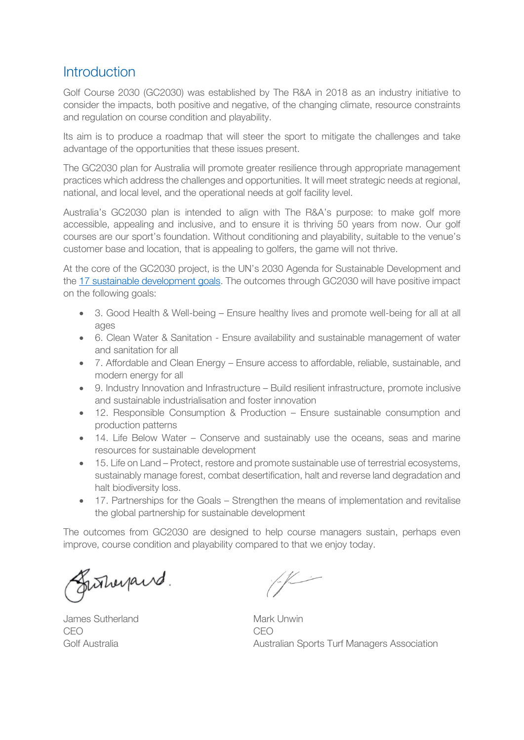### <span id="page-2-0"></span>**Introduction**

Golf Course 2030 (GC2030) was established by The R&A in 2018 as an industry initiative to consider the impacts, both positive and negative, of the changing climate, resource constraints and regulation on course condition and playability.

Its aim is to produce a roadmap that will steer the sport to mitigate the challenges and take advantage of the opportunities that these issues present.

The GC2030 plan for Australia will promote greater resilience through appropriate management practices which address the challenges and opportunities. It will meet strategic needs at regional, national, and local level, and the operational needs at golf facility level.

Australia's GC2030 plan is intended to align with The R&A's purpose: to make golf more accessible, appealing and inclusive, and to ensure it is thriving 50 years from now. Our golf courses are our sport's foundation. Without conditioning and playability, suitable to the venue's customer base and location, that is appealing to golfers, the game will not thrive.

At the core of the GC2030 project, is the UN's 2030 Agenda for Sustainable Development and the [17 sustainable development goals.](https://sdgs.un.org/goals) The outcomes through GC2030 will have positive impact on the following goals:

- 3. Good Health & Well-being Ensure healthy lives and promote well-being for all at all ages
- 6. Clean Water & Sanitation Ensure availability and sustainable management of water and sanitation for all
- 7. Affordable and Clean Energy Ensure access to affordable, reliable, sustainable, and modern energy for all
- 9. Industry Innovation and Infrastructure Build resilient infrastructure, promote inclusive and sustainable industrialisation and foster innovation
- 12. Responsible Consumption & Production Ensure sustainable consumption and production patterns
- 14. Life Below Water Conserve and sustainably use the oceans, seas and marine resources for sustainable development
- 15. Life on Land Protect, restore and promote sustainable use of terrestrial ecosystems, sustainably manage forest, combat desertification, halt and reverse land degradation and halt biodiversity loss.
- 17. Partnerships for the Goals Strengthen the means of implementation and revitalise the global partnership for sustainable development

The outcomes from GC2030 are designed to help course managers sustain, perhaps even improve, course condition and playability compared to that we enjoy today.

Gutheyand.

James Sutherland Mark Unwin CEO CEO

Golf Australia **Australian Sports Turf Managers Association**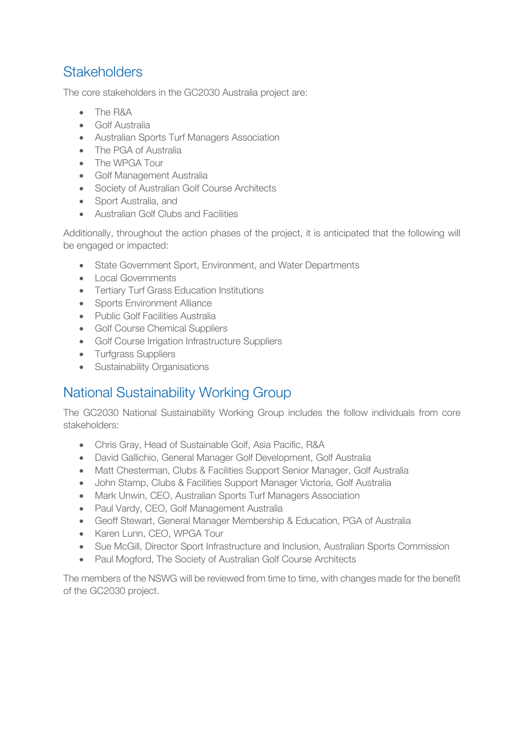# <span id="page-3-0"></span>**Stakeholders**

The core stakeholders in the GC2030 Australia project are:

- The R&A
- Golf Australia
- Australian Sports Turf Managers Association
- The PGA of Australia
- The WPGA Tour
- Golf Management Australia
- Society of Australian Golf Course Architects
- Sport Australia, and
- Australian Golf Clubs and Facilities

Additionally, throughout the action phases of the project, it is anticipated that the following will be engaged or impacted:

- State Government Sport, Environment, and Water Departments
- Local Governments
- Tertiary Turf Grass Education Institutions
- Sports Environment Alliance
- Public Golf Facilities Australia
- Golf Course Chemical Suppliers
- Golf Course Irrigation Infrastructure Suppliers
- Turfgrass Suppliers
- Sustainability Organisations

# <span id="page-3-1"></span>National Sustainability Working Group

The GC2030 National Sustainability Working Group includes the follow individuals from core stakeholders:

- Chris Gray, Head of Sustainable Golf, Asia Pacific, R&A
- David Gallichio, General Manager Golf Development, Golf Australia
- Matt Chesterman, Clubs & Facilities Support Senior Manager, Golf Australia
- John Stamp, Clubs & Facilities Support Manager Victoria, Golf Australia
- Mark Unwin, CEO, Australian Sports Turf Managers Association
- Paul Vardy, CEO, Golf Management Australia
- Geoff Stewart, General Manager Membership & Education, PGA of Australia
- Karen Lunn, CEO, WPGA Tour
- Sue McGill, Director Sport Infrastructure and Inclusion, Australian Sports Commission
- Paul Mogford, The Society of Australian Golf Course Architects

The members of the NSWG will be reviewed from time to time, with changes made for the benefit of the GC2030 project.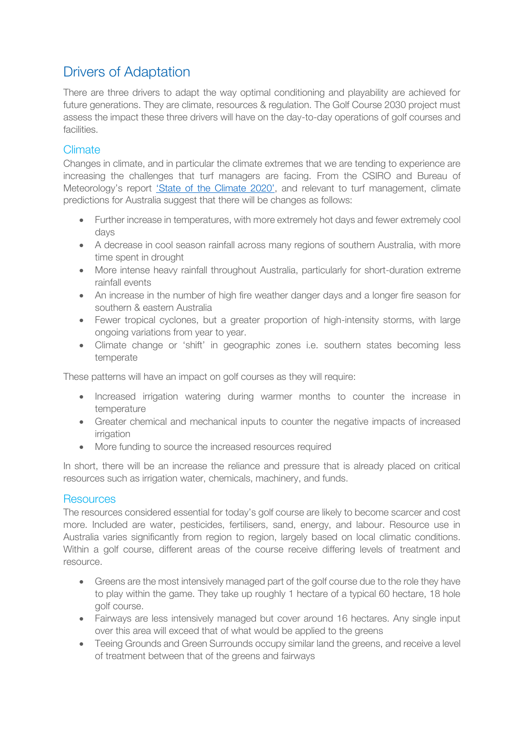# <span id="page-4-0"></span>Drivers of Adaptation

There are three drivers to adapt the way optimal conditioning and playability are achieved for future generations. They are climate, resources & regulation. The Golf Course 2030 project must assess the impact these three drivers will have on the day-to-day operations of golf courses and facilities.

#### <span id="page-4-1"></span>Climate

Changes in climate, and in particular the climate extremes that we are tending to experience are increasing the challenges that turf managers are facing. From the CSIRO and Bureau of Meteorology's report ['State of the Climate 2020'](http://www.bom.gov.au/state-of-the-climate/documents/State-of-the-Climate-2020.pdf), and relevant to turf management, climate predictions for Australia suggest that there will be changes as follows:

- Further increase in temperatures, with more extremely hot days and fewer extremely cool days
- A decrease in cool season rainfall across many regions of southern Australia, with more time spent in drought
- More intense heavy rainfall throughout Australia, particularly for short-duration extreme rainfall events
- An increase in the number of high fire weather danger days and a longer fire season for southern & eastern Australia
- Fewer tropical cyclones, but a greater proportion of high-intensity storms, with large ongoing variations from year to year.
- Climate change or 'shift' in geographic zones i.e. southern states becoming less temperate

These patterns will have an impact on golf courses as they will require:

- Increased irrigation watering during warmer months to counter the increase in temperature
- Greater chemical and mechanical inputs to counter the negative impacts of increased irrigation
- More funding to source the increased resources required

In short, there will be an increase the reliance and pressure that is already placed on critical resources such as irrigation water, chemicals, machinery, and funds.

#### <span id="page-4-2"></span>**Resources**

The resources considered essential for today's golf course are likely to become scarcer and cost more. Included are water, pesticides, fertilisers, sand, energy, and labour. Resource use in Australia varies significantly from region to region, largely based on local climatic conditions. Within a golf course, different areas of the course receive differing levels of treatment and resource.

- Greens are the most intensively managed part of the golf course due to the role they have to play within the game. They take up roughly 1 hectare of a typical 60 hectare, 18 hole golf course.
- Fairways are less intensively managed but cover around 16 hectares. Any single input over this area will exceed that of what would be applied to the greens
- Teeing Grounds and Green Surrounds occupy similar land the greens, and receive a level of treatment between that of the greens and fairways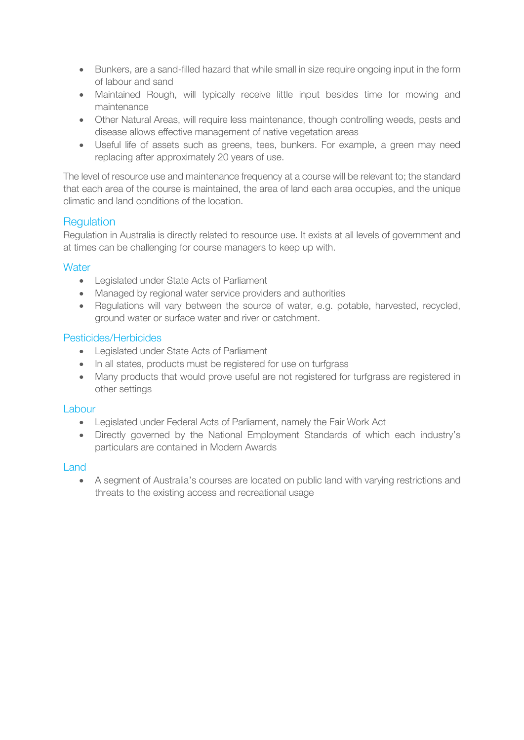- Bunkers, are a sand-filled hazard that while small in size require ongoing input in the form of labour and sand
- Maintained Rough, will typically receive little input besides time for mowing and maintenance
- Other Natural Areas, will require less maintenance, though controlling weeds, pests and disease allows effective management of native vegetation areas
- Useful life of assets such as greens, tees, bunkers. For example, a green may need replacing after approximately 20 years of use.

The level of resource use and maintenance frequency at a course will be relevant to; the standard that each area of the course is maintained, the area of land each area occupies, and the unique climatic and land conditions of the location.

#### <span id="page-5-0"></span>**Regulation**

Regulation in Australia is directly related to resource use. It exists at all levels of government and at times can be challenging for course managers to keep up with.

#### <span id="page-5-1"></span>**Water**

- Legislated under State Acts of Parliament
- Managed by regional water service providers and authorities
- Requlations will vary between the source of water, e.g. potable, harvested, recycled, ground water or surface water and river or catchment.

#### <span id="page-5-2"></span>Pesticides/Herbicides

- Legislated under State Acts of Parliament
- In all states, products must be registered for use on turfgrass
- Many products that would prove useful are not registered for turfgrass are registered in other settings

#### <span id="page-5-3"></span>Labour

- Legislated under Federal Acts of Parliament, namely the Fair Work Act
- Directly governed by the National Employment Standards of which each industry's particulars are contained in Modern Awards

#### <span id="page-5-4"></span>Land

• A segment of Australia's courses are located on public land with varying restrictions and threats to the existing access and recreational usage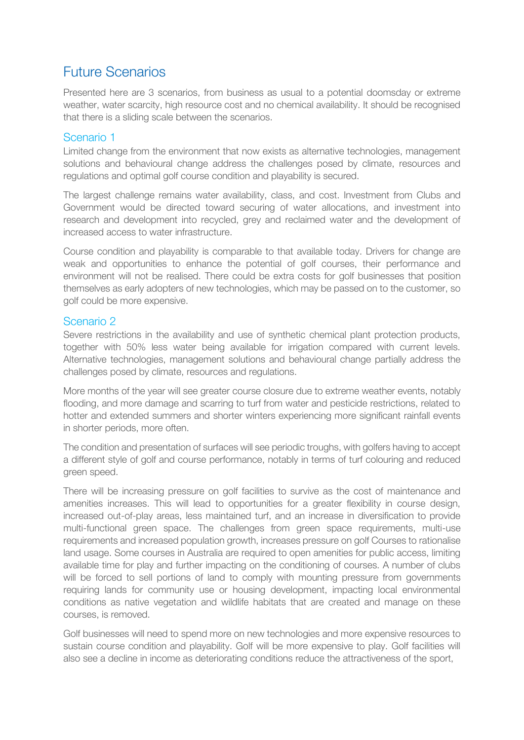### <span id="page-6-0"></span>Future Scenarios

Presented here are 3 scenarios, from business as usual to a potential doomsday or extreme weather, water scarcity, high resource cost and no chemical availability. It should be recognised that there is a sliding scale between the scenarios.

#### <span id="page-6-1"></span>Scenario 1

Limited change from the environment that now exists as alternative technologies, management solutions and behavioural change address the challenges posed by climate, resources and regulations and optimal golf course condition and playability is secured.

The largest challenge remains water availability, class, and cost. Investment from Clubs and Government would be directed toward securing of water allocations, and investment into research and development into recycled, grey and reclaimed water and the development of increased access to water infrastructure.

Course condition and playability is comparable to that available today. Drivers for change are weak and opportunities to enhance the potential of golf courses, their performance and environment will not be realised. There could be extra costs for golf businesses that position themselves as early adopters of new technologies, which may be passed on to the customer, so golf could be more expensive.

#### <span id="page-6-2"></span>Scenario 2

Severe restrictions in the availability and use of synthetic chemical plant protection products, together with 50% less water being available for irrigation compared with current levels. Alternative technologies, management solutions and behavioural change partially address the challenges posed by climate, resources and regulations.

More months of the year will see greater course closure due to extreme weather events, notably flooding, and more damage and scarring to turf from water and pesticide restrictions, related to hotter and extended summers and shorter winters experiencing more significant rainfall events in shorter periods, more often.

The condition and presentation of surfaces will see periodic troughs, with golfers having to accept a different style of golf and course performance, notably in terms of turf colouring and reduced green speed.

There will be increasing pressure on golf facilities to survive as the cost of maintenance and amenities increases. This will lead to opportunities for a greater flexibility in course design, increased out-of-play areas, less maintained turf, and an increase in diversification to provide multi-functional green space. The challenges from green space requirements, multi-use requirements and increased population growth, increases pressure on golf Courses to rationalise land usage. Some courses in Australia are required to open amenities for public access, limiting available time for play and further impacting on the conditioning of courses. A number of clubs will be forced to sell portions of land to comply with mounting pressure from governments requiring lands for community use or housing development, impacting local environmental conditions as native vegetation and wildlife habitats that are created and manage on these courses, is removed.

Golf businesses will need to spend more on new technologies and more expensive resources to sustain course condition and playability. Golf will be more expensive to play. Golf facilities will also see a decline in income as deteriorating conditions reduce the attractiveness of the sport,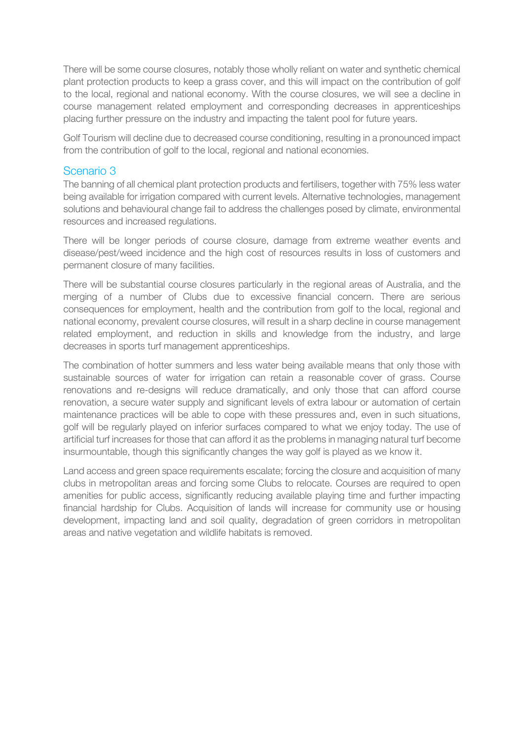There will be some course closures, notably those wholly reliant on water and synthetic chemical plant protection products to keep a grass cover, and this will impact on the contribution of golf to the local, regional and national economy. With the course closures, we will see a decline in course management related employment and corresponding decreases in apprenticeships placing further pressure on the industry and impacting the talent pool for future years.

Golf Tourism will decline due to decreased course conditioning, resulting in a pronounced impact from the contribution of golf to the local, regional and national economies.

#### <span id="page-7-0"></span>Scenario 3

The banning of all chemical plant protection products and fertilisers, together with 75% less water being available for irrigation compared with current levels. Alternative technologies, management solutions and behavioural change fail to address the challenges posed by climate, environmental resources and increased regulations.

There will be longer periods of course closure, damage from extreme weather events and disease/pest/weed incidence and the high cost of resources results in loss of customers and permanent closure of many facilities.

There will be substantial course closures particularly in the regional areas of Australia, and the merging of a number of Clubs due to excessive financial concern. There are serious consequences for employment, health and the contribution from golf to the local, regional and national economy, prevalent course closures, will result in a sharp decline in course management related employment, and reduction in skills and knowledge from the industry, and large decreases in sports turf management apprenticeships.

The combination of hotter summers and less water being available means that only those with sustainable sources of water for irrigation can retain a reasonable cover of grass. Course renovations and re-designs will reduce dramatically, and only those that can afford course renovation, a secure water supply and significant levels of extra labour or automation of certain maintenance practices will be able to cope with these pressures and, even in such situations, golf will be regularly played on inferior surfaces compared to what we enjoy today. The use of artificial turf increases for those that can afford it as the problems in managing natural turf become insurmountable, though this significantly changes the way golf is played as we know it.

Land access and green space requirements escalate; forcing the closure and acquisition of many clubs in metropolitan areas and forcing some Clubs to relocate. Courses are required to open amenities for public access, significantly reducing available playing time and further impacting financial hardship for Clubs. Acquisition of lands will increase for community use or housing development, impacting land and soil quality, degradation of green corridors in metropolitan areas and native vegetation and wildlife habitats is removed.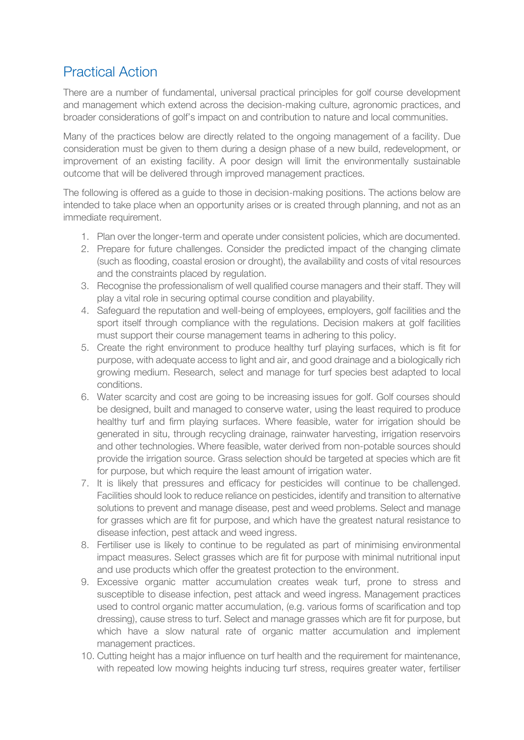## <span id="page-8-0"></span>Practical Action

There are a number of fundamental, universal practical principles for golf course development and management which extend across the decision-making culture, agronomic practices, and broader considerations of golf's impact on and contribution to nature and local communities.

Many of the practices below are directly related to the ongoing management of a facility. Due consideration must be given to them during a design phase of a new build, redevelopment, or improvement of an existing facility. A poor design will limit the environmentally sustainable outcome that will be delivered through improved management practices.

The following is offered as a guide to those in decision-making positions. The actions below are intended to take place when an opportunity arises or is created through planning, and not as an immediate requirement.

- 1. Plan over the longer-term and operate under consistent policies, which are documented.
- 2. Prepare for future challenges. Consider the predicted impact of the changing climate (such as flooding, coastal erosion or drought), the availability and costs of vital resources and the constraints placed by regulation.
- 3. Recognise the professionalism of well qualified course managers and their staff. They will play a vital role in securing optimal course condition and playability.
- 4. Safeguard the reputation and well-being of employees, employers, golf facilities and the sport itself through compliance with the regulations. Decision makers at golf facilities must support their course management teams in adhering to this policy.
- 5. Create the right environment to produce healthy turf playing surfaces, which is fit for purpose, with adequate access to light and air, and good drainage and a biologically rich growing medium. Research, select and manage for turf species best adapted to local conditions.
- 6. Water scarcity and cost are going to be increasing issues for golf. Golf courses should be designed, built and managed to conserve water, using the least required to produce healthy turf and firm playing surfaces. Where feasible, water for irrigation should be generated in situ, through recycling drainage, rainwater harvesting, irrigation reservoirs and other technologies. Where feasible, water derived from non-potable sources should provide the irrigation source. Grass selection should be targeted at species which are fit for purpose, but which require the least amount of irrigation water.
- 7. It is likely that pressures and efficacy for pesticides will continue to be challenged. Facilities should look to reduce reliance on pesticides, identify and transition to alternative solutions to prevent and manage disease, pest and weed problems. Select and manage for grasses which are fit for purpose, and which have the greatest natural resistance to disease infection, pest attack and weed ingress.
- 8. Fertiliser use is likely to continue to be regulated as part of minimising environmental impact measures. Select grasses which are fit for purpose with minimal nutritional input and use products which offer the greatest protection to the environment.
- 9. Excessive organic matter accumulation creates weak turf, prone to stress and susceptible to disease infection, pest attack and weed ingress. Management practices used to control organic matter accumulation, (e.g. various forms of scarification and top dressing), cause stress to turf. Select and manage grasses which are fit for purpose, but which have a slow natural rate of organic matter accumulation and implement management practices.
- 10. Cutting height has a major influence on turf health and the requirement for maintenance, with repeated low mowing heights inducing turf stress, requires greater water, fertiliser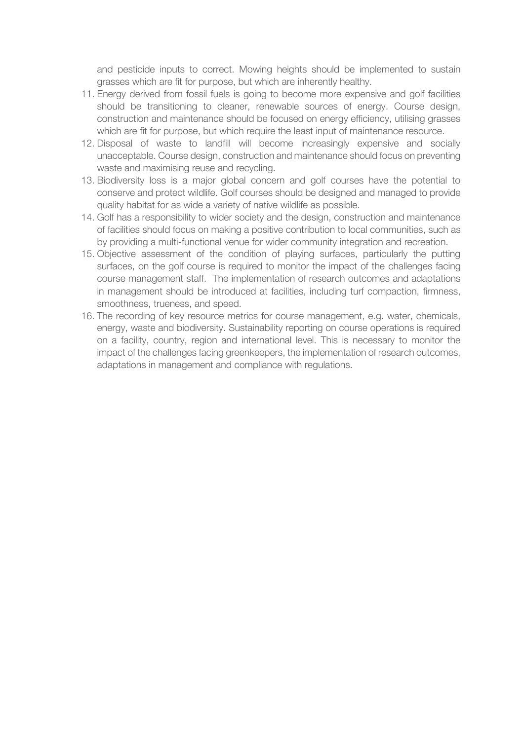and pesticide inputs to correct. Mowing heights should be implemented to sustain grasses which are fit for purpose, but which are inherently healthy.

- 11. Energy derived from fossil fuels is going to become more expensive and golf facilities should be transitioning to cleaner, renewable sources of energy. Course design, construction and maintenance should be focused on energy efficiency, utilising grasses which are fit for purpose, but which require the least input of maintenance resource.
- 12. Disposal of waste to landfill will become increasingly expensive and socially unacceptable. Course design, construction and maintenance should focus on preventing waste and maximising reuse and recycling.
- 13. Biodiversity loss is a major global concern and golf courses have the potential to conserve and protect wildlife. Golf courses should be designed and managed to provide quality habitat for as wide a variety of native wildlife as possible.
- 14. Golf has a responsibility to wider society and the design, construction and maintenance of facilities should focus on making a positive contribution to local communities, such as by providing a multi-functional venue for wider community integration and recreation.
- 15. Objective assessment of the condition of playing surfaces, particularly the putting surfaces, on the golf course is required to monitor the impact of the challenges facing course management staff. The implementation of research outcomes and adaptations in management should be introduced at facilities, including turf compaction, firmness, smoothness, trueness, and speed.
- 16. The recording of key resource metrics for course management, e.g. water, chemicals, energy, waste and biodiversity. Sustainability reporting on course operations is required on a facility, country, region and international level. This is necessary to monitor the impact of the challenges facing greenkeepers, the implementation of research outcomes, adaptations in management and compliance with regulations.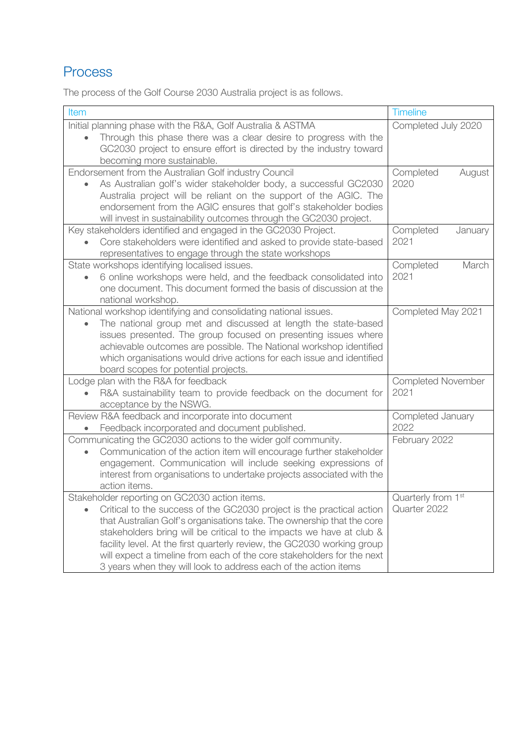# <span id="page-10-0"></span>Process

The process of the Golf Course 2030 Australia project is as follows.

| Item                                                                                                                                            | <b>Timeline</b>           |  |
|-------------------------------------------------------------------------------------------------------------------------------------------------|---------------------------|--|
| Initial planning phase with the R&A, Golf Australia & ASTMA                                                                                     | Completed July 2020       |  |
| Through this phase there was a clear desire to progress with the                                                                                |                           |  |
| GC2030 project to ensure effort is directed by the industry toward                                                                              |                           |  |
| becoming more sustainable.                                                                                                                      |                           |  |
| Endorsement from the Australian Golf industry Council                                                                                           | Completed<br>August       |  |
| As Australian golf's wider stakeholder body, a successful GC2030                                                                                | 2020                      |  |
| Australia project will be reliant on the support of the AGIC. The                                                                               |                           |  |
| endorsement from the AGIC ensures that golf's stakeholder bodies                                                                                |                           |  |
| will invest in sustainability outcomes through the GC2030 project.                                                                              |                           |  |
| Key stakeholders identified and engaged in the GC2030 Project.                                                                                  | Completed<br>January      |  |
| Core stakeholders were identified and asked to provide state-based                                                                              | 2021                      |  |
| representatives to engage through the state workshops                                                                                           |                           |  |
| State workshops identifying localised issues.                                                                                                   | Completed<br>March        |  |
| 6 online workshops were held, and the feedback consolidated into                                                                                | 2021                      |  |
| one document. This document formed the basis of discussion at the                                                                               |                           |  |
| national workshop.                                                                                                                              |                           |  |
| National workshop identifying and consolidating national issues.                                                                                | Completed May 2021        |  |
| The national group met and discussed at length the state-based                                                                                  |                           |  |
| issues presented. The group focused on presenting issues where                                                                                  |                           |  |
| achievable outcomes are possible. The National workshop identified                                                                              |                           |  |
| which organisations would drive actions for each issue and identified                                                                           |                           |  |
| board scopes for potential projects.                                                                                                            |                           |  |
| Lodge plan with the R&A for feedback                                                                                                            | <b>Completed November</b> |  |
| R&A sustainability team to provide feedback on the document for                                                                                 | 2021                      |  |
| acceptance by the NSWG.                                                                                                                         |                           |  |
| Review R&A feedback and incorporate into document                                                                                               | Completed January         |  |
| Feedback incorporated and document published.                                                                                                   | 2022                      |  |
| Communicating the GC2030 actions to the wider golf community.                                                                                   | February 2022             |  |
| Communication of the action item will encourage further stakeholder                                                                             |                           |  |
| engagement. Communication will include seeking expressions of                                                                                   |                           |  |
| interest from organisations to undertake projects associated with the                                                                           |                           |  |
| action items.                                                                                                                                   |                           |  |
| Stakeholder reporting on GC2030 action items.                                                                                                   | Quarterly from 1st        |  |
| Critical to the success of the GC2030 project is the practical action                                                                           | Quarter 2022              |  |
| that Australian Golf's organisations take. The ownership that the core                                                                          |                           |  |
| stakeholders bring will be critical to the impacts we have at club &<br>facility level. At the first quarterly review, the GC2030 working group |                           |  |
| will expect a timeline from each of the core stakeholders for the next                                                                          |                           |  |
| 3 years when they will look to address each of the action items                                                                                 |                           |  |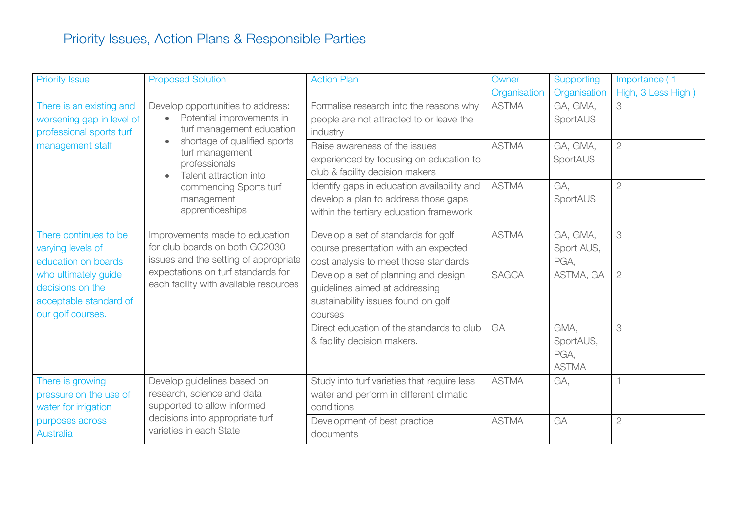# Priority Issues, Action Plans & Responsible Parties

<span id="page-11-0"></span>

| <b>Priority Issue</b>     | <b>Proposed Solution</b>                                                                                                                                    | <b>Action Plan</b>                          | Owner        | Supporting      | Importance (1      |
|---------------------------|-------------------------------------------------------------------------------------------------------------------------------------------------------------|---------------------------------------------|--------------|-----------------|--------------------|
|                           |                                                                                                                                                             |                                             | Organisation | Organisation    | High, 3 Less High) |
| There is an existing and  | Develop opportunities to address:<br>Potential improvements in<br>$\bullet$<br>turf management education<br>shortage of qualified sports<br>turf management | Formalise research into the reasons why     | <b>ASTMA</b> | GA, GMA,        | 3                  |
| worsening gap in level of |                                                                                                                                                             | people are not attracted to or leave the    |              | SportAUS        |                    |
| professional sports turf  |                                                                                                                                                             | industry                                    |              |                 |                    |
| management staff          |                                                                                                                                                             | Raise awareness of the issues               | <b>ASTMA</b> | GA, GMA,        | $\overline{2}$     |
|                           | professionals                                                                                                                                               | experienced by focusing on education to     |              | <b>SportAUS</b> |                    |
|                           | Talent attraction into                                                                                                                                      | club & facility decision makers             |              |                 |                    |
|                           | commencing Sports turf                                                                                                                                      | Identify gaps in education availability and | <b>ASTMA</b> | GA.             | $\overline{2}$     |
|                           | management                                                                                                                                                  | develop a plan to address those gaps        |              | SportAUS        |                    |
|                           | apprenticeships                                                                                                                                             | within the tertiary education framework     |              |                 |                    |
|                           |                                                                                                                                                             |                                             |              |                 |                    |
| There continues to be     | Improvements made to education                                                                                                                              | Develop a set of standards for golf         | <b>ASTMA</b> | GA, GMA,        | 3                  |
| varying levels of         | for club boards on both GC2030                                                                                                                              | course presentation with an expected        |              | Sport AUS,      |                    |
| education on boards       | issues and the setting of appropriate                                                                                                                       | cost analysis to meet those standards       |              | PGA,            |                    |
| who ultimately guide      | expectations on turf standards for                                                                                                                          | Develop a set of planning and design        | <b>SAGCA</b> | ASTMA, GA       | $\overline{2}$     |
| decisions on the          | each facility with available resources                                                                                                                      | guidelines aimed at addressing              |              |                 |                    |
| acceptable standard of    |                                                                                                                                                             | sustainability issues found on golf         |              |                 |                    |
| our golf courses.         |                                                                                                                                                             | courses                                     |              |                 |                    |
|                           |                                                                                                                                                             | Direct education of the standards to club   | GA           | GMA,            | 3                  |
|                           |                                                                                                                                                             | & facility decision makers.                 |              | SportAUS,       |                    |
|                           |                                                                                                                                                             |                                             |              | PGA,            |                    |
|                           |                                                                                                                                                             |                                             |              | <b>ASTMA</b>    |                    |
| There is growing          | Develop guidelines based on                                                                                                                                 | Study into turf varieties that require less | <b>ASTMA</b> | GA.             |                    |
| pressure on the use of    | research, science and data                                                                                                                                  | water and perform in different climatic     |              |                 |                    |
| water for irrigation      | supported to allow informed                                                                                                                                 | conditions                                  |              |                 |                    |
| purposes across           | decisions into appropriate turf                                                                                                                             | Development of best practice                | <b>ASTMA</b> | GA              | $\overline{2}$     |
| Australia                 | varieties in each State                                                                                                                                     | documents                                   |              |                 |                    |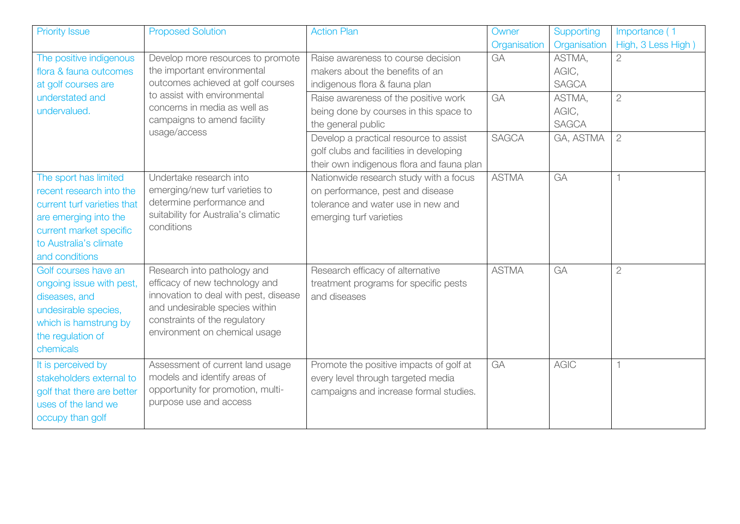| <b>Priority Issue</b>                                                                                                                                                             | <b>Proposed Solution</b>                                                                                                                                                                                   | <b>Action Plan</b>                                                                                                                          | Owner                                                                                                | Supporting     | Importance (1                   |                |
|-----------------------------------------------------------------------------------------------------------------------------------------------------------------------------------|------------------------------------------------------------------------------------------------------------------------------------------------------------------------------------------------------------|---------------------------------------------------------------------------------------------------------------------------------------------|------------------------------------------------------------------------------------------------------|----------------|---------------------------------|----------------|
|                                                                                                                                                                                   |                                                                                                                                                                                                            |                                                                                                                                             | Organisation                                                                                         | Organisation   | High, 3 Less High               |                |
| The positive indigenous<br>Develop more resources to promote<br>the important environmental<br>flora & fauna outcomes<br>outcomes achieved at golf courses<br>at golf courses are | Raise awareness to course decision<br>makers about the benefits of an<br>indigenous flora & fauna plan                                                                                                     | GA                                                                                                                                          | ASTMA,<br>AGIC,<br><b>SAGCA</b>                                                                      | $\overline{2}$ |                                 |                |
| understated and<br>undervalued.                                                                                                                                                   | to assist with environmental<br>concerns in media as well as<br>campaigns to amend facility<br>usage/access                                                                                                |                                                                                                                                             | Raise awareness of the positive work<br>being done by courses in this space to<br>the general public | GA             | ASTMA,<br>AGIC,<br><b>SAGCA</b> | $\overline{2}$ |
|                                                                                                                                                                                   |                                                                                                                                                                                                            | Develop a practical resource to assist<br>golf clubs and facilities in developing<br>their own indigenous flora and fauna plan              | <b>SAGCA</b>                                                                                         | GA, ASTMA      | $\overline{2}$                  |                |
| The sport has limited<br>recent research into the<br>current turf varieties that<br>are emerging into the<br>current market specific<br>to Australia's climate<br>and conditions  | Undertake research into<br>emerging/new turf varieties to<br>determine performance and<br>suitability for Australia's climatic<br>conditions                                                               | Nationwide research study with a focus<br>on performance, pest and disease<br>tolerance and water use in new and<br>emerging turf varieties | <b>ASTMA</b>                                                                                         | GA             |                                 |                |
| Golf courses have an<br>ongoing issue with pest,<br>diseases, and<br>undesirable species,<br>which is hamstrung by<br>the regulation of<br>chemicals                              | Research into pathology and<br>efficacy of new technology and<br>innovation to deal with pest, disease<br>and undesirable species within<br>constraints of the regulatory<br>environment on chemical usage | Research efficacy of alternative<br>treatment programs for specific pests<br>and diseases                                                   | <b>ASTMA</b>                                                                                         | GA             | $\overline{2}$                  |                |
| It is perceived by<br>stakeholders external to<br>golf that there are better<br>uses of the land we<br>occupy than golf                                                           | Assessment of current land usage<br>models and identify areas of<br>opportunity for promotion, multi-<br>purpose use and access                                                                            | Promote the positive impacts of golf at<br>every level through targeted media<br>campaigns and increase formal studies.                     | GA                                                                                                   | <b>AGIC</b>    |                                 |                |